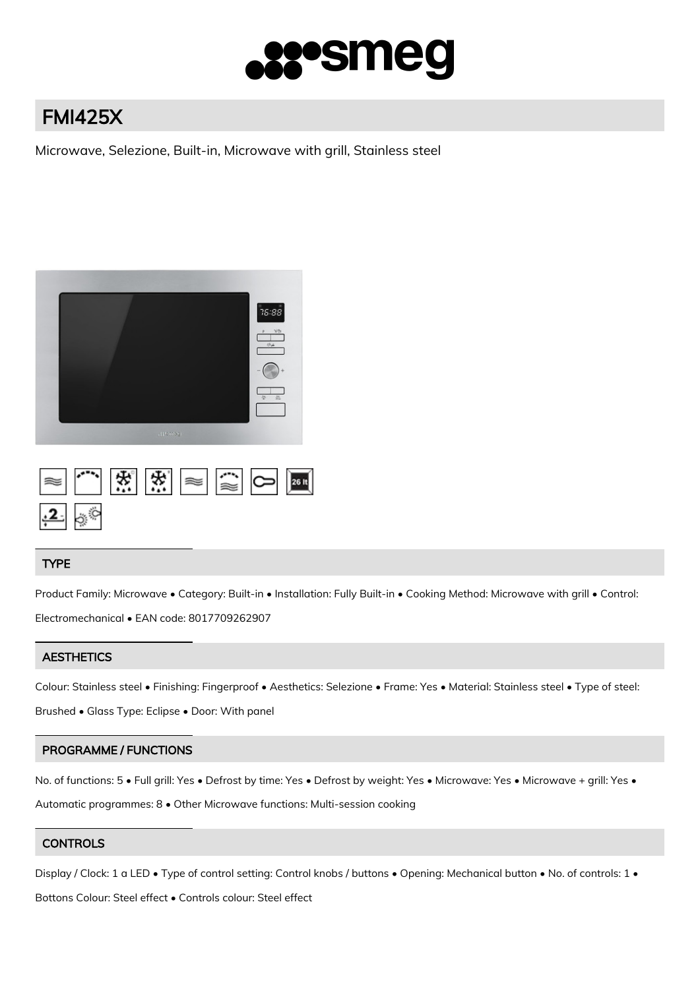

# FMI425X

Microwave, Selezione, Built-in, Microwave with grill, Stainless steel



## 法。 法 26 It

#### TYPE

Product Family: Microwave • Category: Built-in • Installation: Fully Built-in • Cooking Method: Microwave with grill • Control: Electromechanical • EAN code: 8017709262907

#### **AESTHETICS**

Colour: Stainless steel • Finishing: Fingerproof • Aesthetics: Selezione • Frame: Yes • Material: Stainless steel • Type of steel:

Brushed • Glass Type: Eclipse • Door: With panel

#### PROGRAMME / FUNCTIONS

No. of functions: 5 • Full grill: Yes • Defrost by time: Yes • Defrost by weight: Yes • Microwave: Yes • Microwave + grill: Yes •

Automatic programmes: 8 • Other Microwave functions: Multi-session cooking

### **CONTROLS**

Display / Clock: 1 a LED • Type of control setting: Control knobs / buttons • Opening: Mechanical button • No. of controls: 1 •

Bottons Colour: Steel effect • Controls colour: Steel effect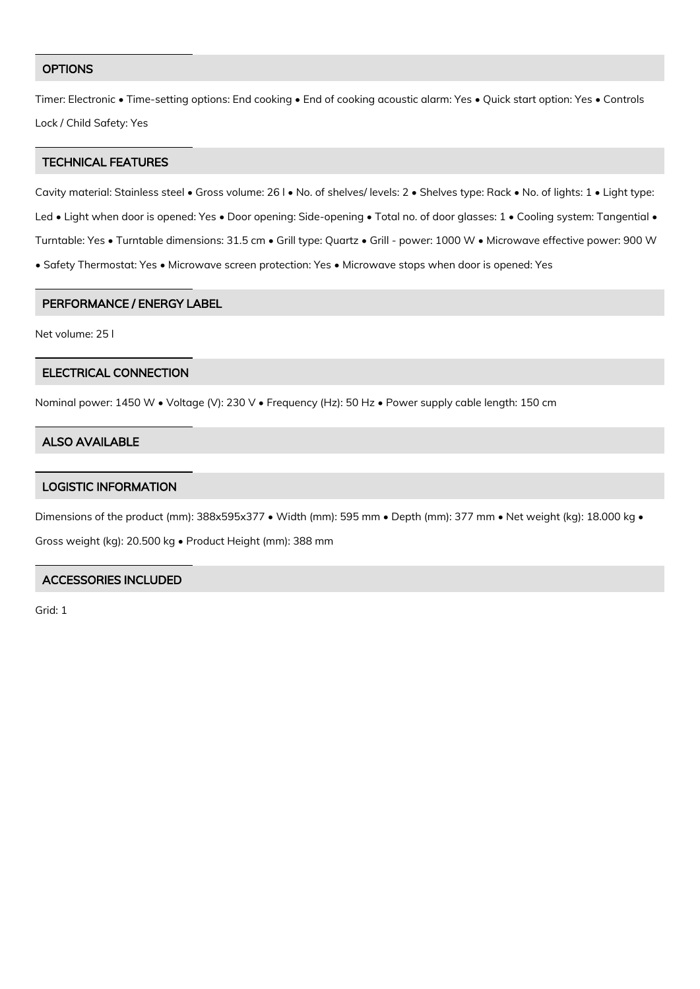#### **OPTIONS**

Timer: Electronic • Time-setting options: End cooking • End of cooking acoustic alarm: Yes • Quick start option: Yes • Controls Lock / Child Safety: Yes

#### TECHNICAL FEATURES

Cavity material: Stainless steel • Gross volume: 26 l • No. of shelves/ levels: 2 • Shelves type: Rack • No. of lights: 1 • Light type: Led • Light when door is opened: Yes • Door opening: Side-opening • Total no. of door glasses: 1 • Cooling system: Tangential • Turntable: Yes • Turntable dimensions: 31.5 cm • Grill type: Quartz • Grill - power: 1000 W • Microwave effective power: 900 W • Safety Thermostat: Yes • Microwave screen protection: Yes • Microwave stops when door is opened: Yes

#### PERFORMANCE / ENERGY LABEL

Net volume: 25 l

#### ELECTRICAL CONNECTION

Nominal power: 1450 W • Voltage (V): 230 V • Frequency (Hz): 50 Hz • Power supply cable length: 150 cm

#### ALSO AVAILABLE

#### LOGISTIC INFORMATION

Dimensions of the product (mm): 388x595x377 • Width (mm): 595 mm • Depth (mm): 377 mm • Net weight (kg): 18.000 kg • Gross weight (kg): 20.500 kg • Product Height (mm): 388 mm

#### ACCESSORIES INCLUDED

Grid: 1